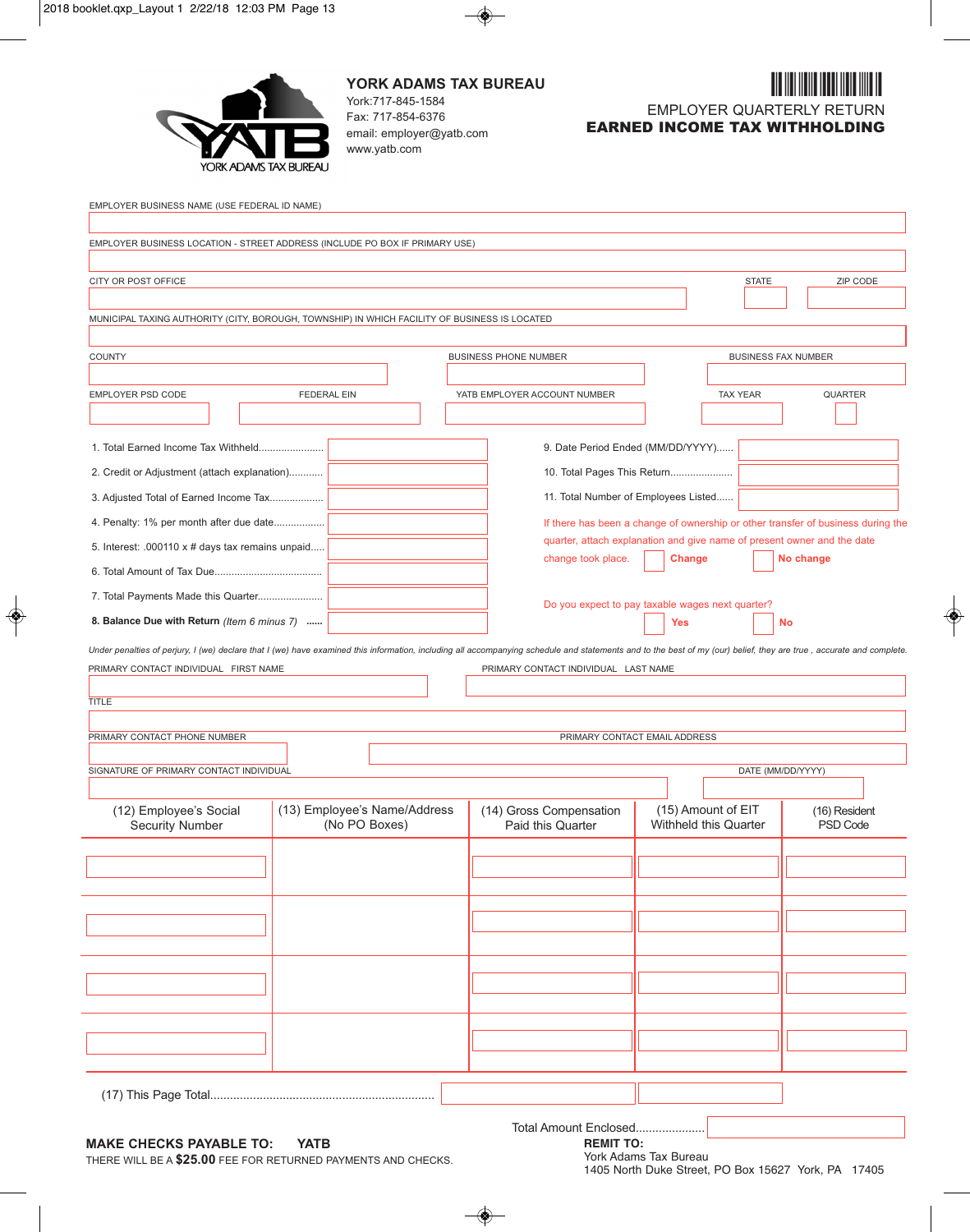

**YORK ADAMS TAX BUREAU** York:717-845-1584 Fax: 717-854-6376 email: employer@yatb.com www.yatb.com



| EMPLOYER BUSINESS NAME (USE FEDERAL ID NAME)                                                                                                                                                                        |                              |                                      |                                                                         |                                                                                  |
|---------------------------------------------------------------------------------------------------------------------------------------------------------------------------------------------------------------------|------------------------------|--------------------------------------|-------------------------------------------------------------------------|----------------------------------------------------------------------------------|
| EMPLOYER BUSINESS LOCATION - STREET ADDRESS (INCLUDE PO BOX IF PRIMARY USE)                                                                                                                                         |                              |                                      |                                                                         |                                                                                  |
|                                                                                                                                                                                                                     |                              |                                      |                                                                         |                                                                                  |
| CITY OR POST OFFICE                                                                                                                                                                                                 |                              |                                      |                                                                         | <b>STATE</b><br>ZIP CODE                                                         |
|                                                                                                                                                                                                                     |                              |                                      |                                                                         |                                                                                  |
| MUNICIPAL TAXING AUTHORITY (CITY, BOROUGH, TOWNSHIP) IN WHICH FACILITY OF BUSINESS IS LOCATED                                                                                                                       |                              |                                      |                                                                         |                                                                                  |
|                                                                                                                                                                                                                     |                              |                                      |                                                                         |                                                                                  |
| COUNTY                                                                                                                                                                                                              |                              | <b>BUSINESS PHONE NUMBER</b>         |                                                                         | <b>BUSINESS FAX NUMBER</b>                                                       |
| EMPLOYER PSD CODE                                                                                                                                                                                                   | <b>FEDERAL EIN</b>           | YATB EMPLOYER ACCOUNT NUMBER         | <b>TAX YEAR</b>                                                         | <b>QUARTER</b>                                                                   |
|                                                                                                                                                                                                                     |                              |                                      |                                                                         |                                                                                  |
|                                                                                                                                                                                                                     |                              |                                      |                                                                         |                                                                                  |
| 1. Total Earned Income Tax Withheld                                                                                                                                                                                 |                              |                                      | 9. Date Period Ended (MM/DD/YYYY)                                       |                                                                                  |
| 2. Credit or Adjustment (attach explanation)                                                                                                                                                                        |                              |                                      | 10. Total Pages This Return                                             |                                                                                  |
| 3. Adjusted Total of Earned Income Tax                                                                                                                                                                              |                              |                                      | 11. Total Number of Employees Listed                                    |                                                                                  |
| 4. Penalty: 1% per month after due date                                                                                                                                                                             |                              |                                      |                                                                         | If there has been a change of ownership or other transfer of business during the |
| 5. Interest: .000110 x # days tax remains unpaid                                                                                                                                                                    |                              |                                      | quarter, attach explanation and give name of present owner and the date |                                                                                  |
|                                                                                                                                                                                                                     |                              | change took place.                   | <b>Change</b>                                                           | No change                                                                        |
| 7. Total Payments Made this Quarter                                                                                                                                                                                 |                              |                                      |                                                                         |                                                                                  |
| 8. Balance Due with Return (Item 6 minus 7)                                                                                                                                                                         |                              |                                      | Do you expect to pay taxable wages next quarter?<br>Yes                 | No                                                                               |
|                                                                                                                                                                                                                     |                              |                                      |                                                                         |                                                                                  |
| Under penalties of perjury, I (we) declare that I (we) have examined this information, including all accompanying schedule and statements and to the best of my (our) belief, they are true, accurate and complete. |                              |                                      |                                                                         |                                                                                  |
| PRIMARY CONTACT INDIVIDUAL FIRST NAME                                                                                                                                                                               |                              | PRIMARY CONTACT INDIVIDUAL LAST NAME |                                                                         |                                                                                  |
| <b>TITLE</b>                                                                                                                                                                                                        |                              |                                      |                                                                         |                                                                                  |
|                                                                                                                                                                                                                     |                              |                                      |                                                                         |                                                                                  |
| PRIMARY CONTACT PHONE NUMBER                                                                                                                                                                                        |                              |                                      | PRIMARY CONTACT EMAIL ADDRESS                                           |                                                                                  |
| SIGNATURE OF PRIMARY CONTACT INDIVIDUAL                                                                                                                                                                             |                              |                                      |                                                                         | DATE (MM/DD/YYYY)                                                                |
|                                                                                                                                                                                                                     |                              |                                      |                                                                         |                                                                                  |
| (12) Employee's Social                                                                                                                                                                                              | (13) Employee's Name/Address | (14) Gross Compensation              | (15) Amount of EIT                                                      | (16) Resident                                                                    |
| <b>Security Number</b>                                                                                                                                                                                              | (No PO Boxes)                | Paid this Quarter                    | Withheld this Quarter                                                   | PSD Code                                                                         |
|                                                                                                                                                                                                                     |                              |                                      |                                                                         |                                                                                  |
|                                                                                                                                                                                                                     |                              |                                      |                                                                         |                                                                                  |
|                                                                                                                                                                                                                     |                              |                                      |                                                                         |                                                                                  |
|                                                                                                                                                                                                                     |                              |                                      |                                                                         |                                                                                  |
|                                                                                                                                                                                                                     |                              |                                      |                                                                         |                                                                                  |
|                                                                                                                                                                                                                     |                              |                                      |                                                                         |                                                                                  |
|                                                                                                                                                                                                                     |                              |                                      |                                                                         |                                                                                  |
|                                                                                                                                                                                                                     |                              |                                      |                                                                         |                                                                                  |
|                                                                                                                                                                                                                     |                              |                                      |                                                                         |                                                                                  |
|                                                                                                                                                                                                                     |                              |                                      |                                                                         |                                                                                  |
|                                                                                                                                                                                                                     |                              |                                      |                                                                         |                                                                                  |
|                                                                                                                                                                                                                     |                              |                                      |                                                                         |                                                                                  |
|                                                                                                                                                                                                                     |                              |                                      |                                                                         |                                                                                  |

## **MAKE CHECKS PAYABLE TO: YATB**

THERE WILL BE A **\$25.00** FEE FOR RETURNED PAYMENTS AND CHECKS.

Total Amount Enclosed.....................

**REMIT TO:** York Adams Tax Bureau

1405 North Duke Street, PO Box 15627 York, PA 17405